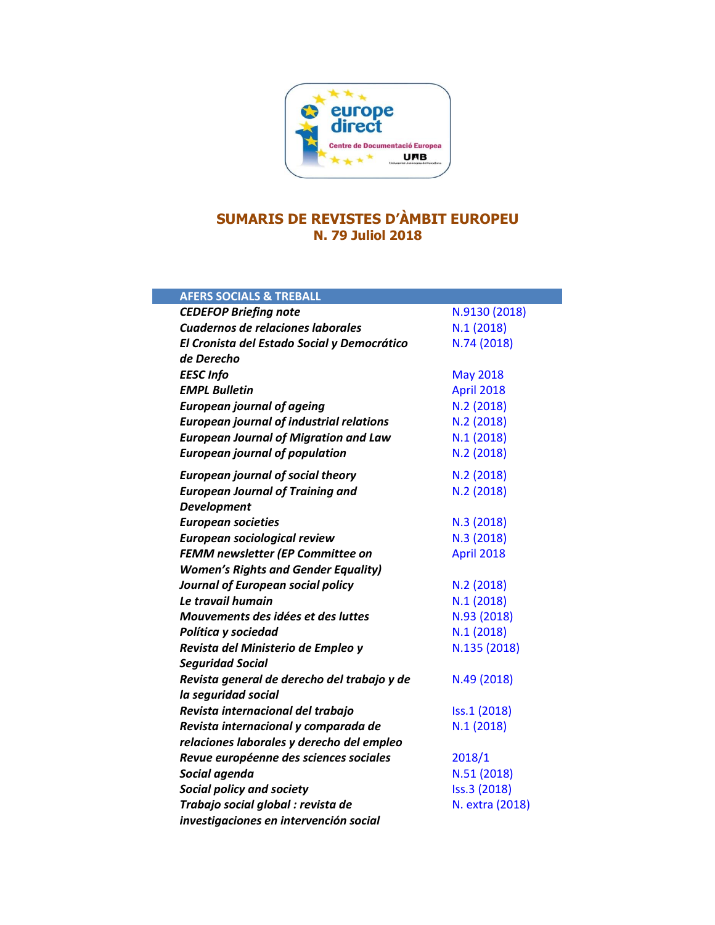

# **SUMARIS DE REVISTES D'ÀMBIT EUROPEU N. 79 Juliol 2018**

| <b>AFERS SOCIALS &amp; TREBALL</b>              |                 |
|-------------------------------------------------|-----------------|
| <b>CEDEFOP Briefing note</b>                    | N.9130 (2018)   |
| <b>Cuadernos de relaciones laborales</b>        | N.1(2018)       |
| El Cronista del Estado Social y Democrático     | N.74 (2018)     |
| de Derecho                                      |                 |
| <b>EESC Info</b>                                | <b>May 2018</b> |
| <b>EMPL Bulletin</b>                            | April 2018      |
| <b>European journal of ageing</b>               | N.2 (2018)      |
| <b>European journal of industrial relations</b> | N.2 (2018)      |
| <b>European Journal of Migration and Law</b>    | N.1(2018)       |
| <b>European journal of population</b>           | N.2 (2018)      |
| <b>European journal of social theory</b>        | N.2 (2018)      |
| <b>European Journal of Training and</b>         | N.2 (2018)      |
| <b>Development</b>                              |                 |
| <b>European societies</b>                       | N.3 (2018)      |
| European sociological review                    | N.3 (2018)      |
| FEMM newsletter (EP Committee on                | April 2018      |
| <b>Women's Rights and Gender Equality)</b>      |                 |
| Journal of European social policy               | N.2 (2018)      |
| Le travail humain                               | N.1(2018)       |
| Mouvements des idées et des luttes              | N.93 (2018)     |
| Política y sociedad                             | N.1(2018)       |
| Revista del Ministerio de Empleo y              | N.135 (2018)    |
| <b>Seguridad Social</b>                         |                 |
| Revista general de derecho del trabajo y de     | N.49 (2018)     |
| la seguridad social                             |                 |
| Revista internacional del trabajo               | Iss.1 (2018)    |
| Revista internacional y comparada de            | N.1(2018)       |
| relaciones laborales y derecho del empleo       |                 |
| Revue européenne des sciences sociales          | 2018/1          |
| Social agenda                                   | N.51 (2018)     |
| Social policy and society                       | Iss.3 (2018)    |
| Trabajo social global : revista de              | N. extra (2018) |
| investigaciones en intervención social          |                 |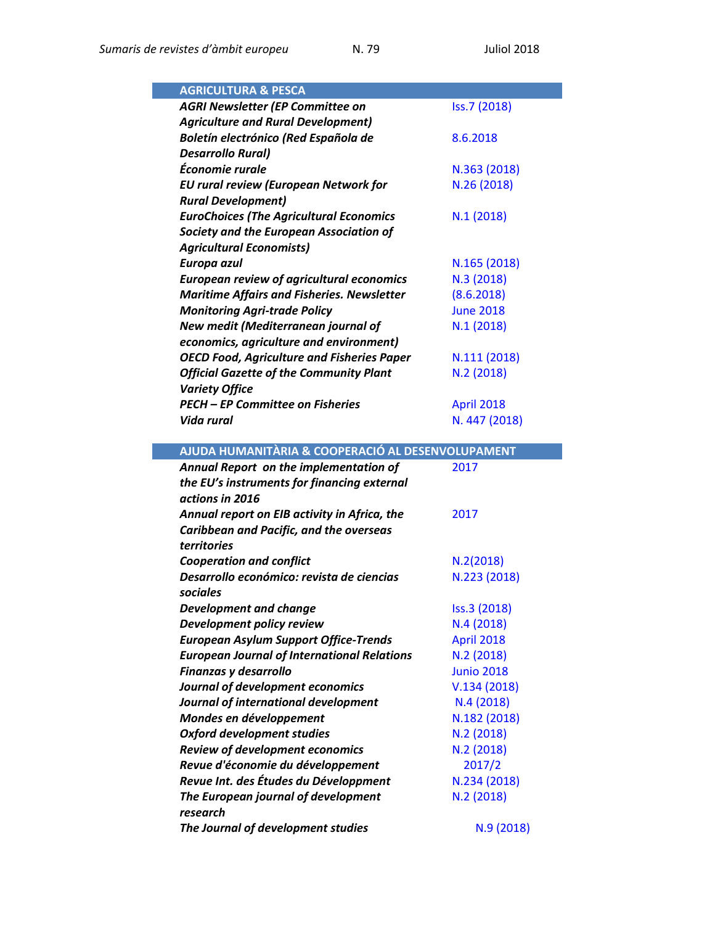| <b>AGRICULTURA &amp; PESCA</b>                     |                   |
|----------------------------------------------------|-------------------|
| <b>AGRI Newsletter (EP Committee on</b>            | Iss.7 (2018)      |
| <b>Agriculture and Rural Development)</b>          |                   |
| Boletín electrónico (Red Española de               | 8.6.2018          |
| <b>Desarrollo Rural)</b>                           |                   |
| Économie rurale                                    | N.363 (2018)      |
| <b>EU rural review (European Network for</b>       | N.26 (2018)       |
| <b>Rural Development)</b>                          |                   |
| <b>EuroChoices (The Agricultural Economics</b>     | N.1(2018)         |
| Society and the European Association of            |                   |
| <b>Agricultural Economists)</b>                    |                   |
| Europa azul                                        | N.165 (2018)      |
| <b>European review of agricultural economics</b>   | N.3 (2018)        |
| <b>Maritime Affairs and Fisheries. Newsletter</b>  | (8.6.2018)        |
| <b>Monitoring Agri-trade Policy</b>                | <b>June 2018</b>  |
| New medit (Mediterranean journal of                | N.1(2018)         |
| economics, agriculture and environment)            |                   |
| <b>OECD Food, Agriculture and Fisheries Paper</b>  | N.111 (2018)      |
| <b>Official Gazette of the Community Plant</b>     | N.2 (2018)        |
| <b>Variety Office</b>                              |                   |
| <b>PECH - EP Committee on Fisheries</b>            | <b>April 2018</b> |
| Vida rural                                         | N. 447 (2018)     |
|                                                    |                   |
| AJUDA HUMANITÀRIA & COOPERACIÓ AL DESENVOLUPAMENT  |                   |
|                                                    |                   |
|                                                    | 2017              |
| Annual Report on the implementation of             |                   |
| the EU's instruments for financing external        |                   |
| actions in 2016                                    |                   |
| Annual report on EIB activity in Africa, the       | 2017              |
| Caribbean and Pacific, and the overseas            |                   |
| territories                                        |                   |
| <b>Cooperation and conflict</b>                    | N.2(2018)         |
| Desarrollo económico: revista de ciencias          | N.223 (2018)      |
| sociales                                           |                   |
| <b>Development and change</b>                      | Iss.3 (2018)      |
| Development policy review                          | N.4(2018)         |
| <b>European Asylum Support Office-Trends</b>       | April 2018        |
| <b>European Journal of International Relations</b> | N.2 (2018)        |
| Finanzas y desarrollo                              | <b>Junio 2018</b> |
| Journal of development economics                   | V.134(2018)       |
| Journal of international development               | N.4(2018)         |
| Mondes en développement                            | N.182 (2018)      |
| <b>Oxford development studies</b>                  | N.2 (2018)        |
| <b>Review of development economics</b>             | N.2 (2018)        |
| Revue d'économie du développement                  | 2017/2            |
| Revue Int. des Études du Développment              | N.234 (2018)      |
| The European journal of development                | N.2(2018)         |
| research<br>The Journal of development studies     | N.9 (2018)        |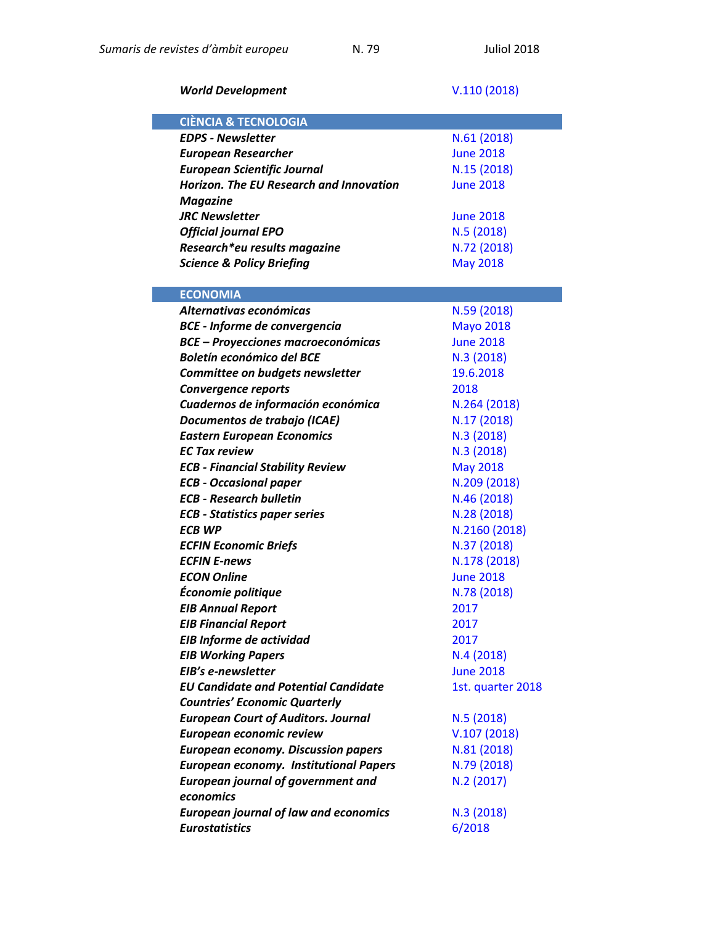## *World Development* V.110 [\(2018\)](https://www.sciencedirect.com/journal/world-development/vol/110/suppl/C)

| <b>CIÈNCIA &amp; TECNOLOGIA</b>                |                  |
|------------------------------------------------|------------------|
| <b>EDPS - Newsletter</b>                       | N.61 (2018)      |
| <b>European Researcher</b>                     | <b>June 2018</b> |
| <b>European Scientific Journal</b>             | N.15 (2018)      |
| <b>Horizon. The EU Research and Innovation</b> | <b>June 2018</b> |
| <b>Magazine</b>                                |                  |
| <b>JRC Newsletter</b>                          | <b>June 2018</b> |
| <b>Official journal EPO</b>                    | N.5 (2018)       |
| Research*eu results magazine                   | N.72 (2018)      |
| <b>Science &amp; Policy Briefing</b>           | <b>May 2018</b>  |
|                                                |                  |
| <b>ECONOMIA</b>                                |                  |
| Alternativas económicas                        | N.59 (2018)      |
| <b>BCE - Informe de convergencia</b>           | <b>Mayo 2018</b> |
| <b>BCE - Proyecciones macroeconómicas</b>      | <b>June 2018</b> |
| <b>Boletín económico del BCE</b>               | N.3 (2018)       |
| Committee on budgets newsletter                | 19.6.2018        |
| <b>Convergence reports</b>                     | 2018             |
| Cuadernos de información económica             | N.264 (2018)     |
| Documentos de trabajo (ICAE)                   | N.17 (2018)      |
| <b>Eastern European Economics</b>              | N.3 (2018)       |
| <b>EC Tax review</b>                           | N.3 (2018)       |
| <b>ECB - Financial Stability Review</b>        | <b>May 2018</b>  |
| <b>ECB - Occasional paper</b>                  | N.209 (2018)     |
| <b>ECB - Research bulletin</b>                 | N.46 (2018)      |
| <b>ECB - Statistics paper series</b>           | N.28 (2018)      |
| <b>ECB WP</b>                                  | N.2160 (2018)    |
| <b>ECFIN Economic Briefs</b>                   | N.37 (2018)      |
| <b>ECFIN E-news</b>                            | N.178 (2018)     |

| <b>ECB - Financial Stability Review</b>       | <b>May 2018</b>   |
|-----------------------------------------------|-------------------|
| <b>ECB - Occasional paper</b>                 | N.209 (2018)      |
| <b>ECB - Research bulletin</b>                | N.46 (2018)       |
| <b>ECB - Statistics paper series</b>          | N.28 (2018)       |
| <b>ECB WP</b>                                 | N.2160 (2018)     |
| <b>ECFIN Economic Briefs</b>                  | N.37 (2018)       |
| <b>ECFIN E-news</b>                           | N.178 (2018)      |
| <b>ECON Online</b>                            | <b>June 2018</b>  |
| Économie politique                            | N.78 (2018)       |
| <b>EIB Annual Report</b>                      | 2017              |
| <b>EIB Financial Report</b>                   | 2017              |
| EIB Informe de actividad                      | 2017              |
| <b>EIB Working Papers</b>                     | N.4(2018)         |
| EIB's e-newsletter                            | <b>June 2018</b>  |
| <b>EU Candidate and Potential Candidate</b>   | 1st. quarter 2018 |
| <b>Countries' Economic Quarterly</b>          |                   |
| <b>European Court of Auditors. Journal</b>    | N.5(2018)         |
| European economic review                      | V.107(2018)       |
| <b>European economy. Discussion papers</b>    | N.81 (2018)       |
| <b>European economy. Institutional Papers</b> | N.79 (2018)       |
| <b>European journal of government and</b>     | N.2 (2017)        |
| economics                                     |                   |
| <b>European journal of law and economics</b>  | N.3 (2018)        |
| <b>Eurostatistics</b>                         | 6/2018            |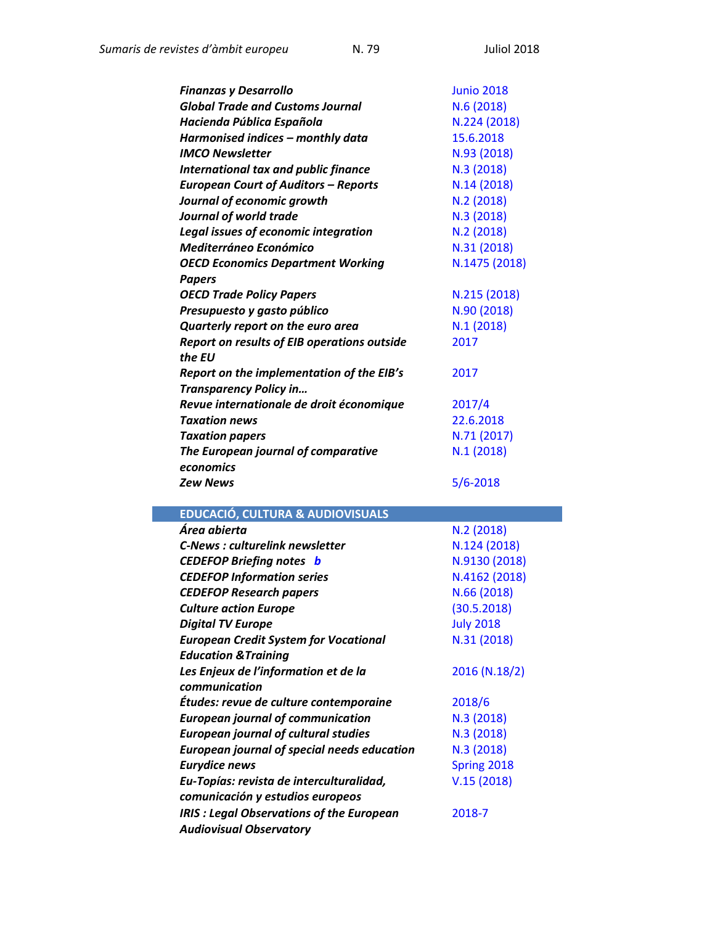| <b>Finanzas y Desarrollo</b>                       | <b>Junio 2018</b> |
|----------------------------------------------------|-------------------|
| <b>Global Trade and Customs Journal</b>            | N.6 (2018)        |
| Hacienda Pública Española                          | N.224 (2018)      |
| Harmonised indices - monthly data                  | 15.6.2018         |
| <b>IMCO Newsletter</b>                             | N.93 (2018)       |
| International tax and public finance               | N.3 (2018)        |
| <b>European Court of Auditors - Reports</b>        | N.14 (2018)       |
| Journal of economic growth                         | N.2 (2018)        |
| Journal of world trade                             | N.3 (2018)        |
| <b>Legal issues of economic integration</b>        | N.2 (2018)        |
| <b>Mediterráneo Económico</b>                      | N.31 (2018)       |
| <b>OECD Economics Department Working</b>           | N.1475 (2018)     |
| <b>Papers</b>                                      |                   |
| <b>OECD Trade Policy Papers</b>                    | N.215 (2018)      |
| Presupuesto y gasto público                        | N.90 (2018)       |
| Quarterly report on the euro area                  | N.1(2018)         |
| <b>Report on results of EIB operations outside</b> | 2017              |
| the EU                                             |                   |
| Report on the implementation of the EIB's          | 2017              |
| Transparency Policy in                             |                   |
| Revue internationale de droit économique           | 2017/4            |
| <b>Taxation news</b>                               | 22.6.2018         |
| <b>Taxation papers</b>                             | N.71 (2017)       |
| The European journal of comparative                | N.1 (2018)        |
| economics                                          |                   |
| <b>Zew News</b>                                    | $5/6 - 2018$      |
|                                                    |                   |
| <b>EDUCACIÓ, CULTURA &amp; AUDIOVISUALS</b>        |                   |
| Área abierta                                       | N.2(2018)         |
| <b>C-News: culturelink newsletter</b>              | N.124 (2018)      |
| <b>CEDEFOP Briefing notes b</b>                    | N.9130 (2018)     |
| <b>CEDEFOP Information series</b>                  | N.4162 (2018)     |
| <b>CEDEFOP Research papers</b>                     | N.66 (2018)       |
| <b>Culture action Europe</b>                       | (30.5.2018)       |
| <b>Digital TV Europe</b>                           | <b>July 2018</b>  |
| <b>European Credit System for Vocational</b>       | N.31 (2018)       |
| <b>Education &amp; Training</b>                    |                   |
| Les Enjeux de l'information et de la               | 2016 (N.18/2)     |
| communication                                      |                   |
| Études: revue de culture contemporaine             | 2018/6            |
| <b>European journal of communication</b>           | N.3 (2018)        |
| <b>European journal of cultural studies</b>        | N.3 (2018)        |
| <b>European journal of special needs education</b> | N.3 (2018)        |

**Eurydice news Eurydice news [Spring](https://eacea.ec.europa.eu/national-policies/eurydice/content/eurydice-news-3_en) 2018** 

V.15 [\(2018\)](http://eu-topias.org/)

[2018-7](http://merlin.obs.coe.int/newsletter.php)

*Eu-Topías: revista de interculturalidad, comunicación y estudios europeos* 

*Audiovisual Observatory* 

*IRIS : Legal Observations of the European*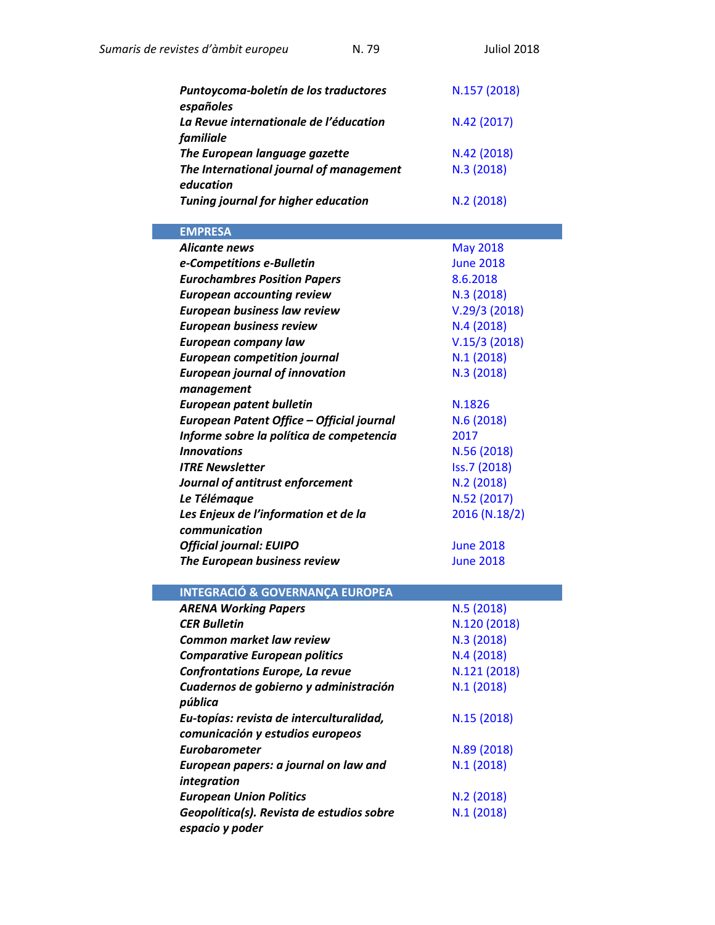| N.79<br>Sumaris de revistes d'àmbit europeu                  | <b>Juliol 2018</b> |
|--------------------------------------------------------------|--------------------|
| Puntoycoma-boletín de los traductores<br>españoles           | N.157 (2018)       |
| La Revue internationale de l'éducation<br>familiale          | N.42 (2017)        |
| The European language gazette                                | N.42 (2018)        |
| The International journal of management                      | N.3(2018)          |
| education                                                    |                    |
| <b>Tuning journal for higher education</b>                   | N.2(2018)          |
| <b>EMPRESA</b>                                               |                    |
| <b>Alicante news</b>                                         | <b>May 2018</b>    |
| e-Competitions e-Bulletin                                    | <b>June 2018</b>   |
| <b>Eurochambres Position Papers</b>                          | 8.6.2018           |
| <b>European accounting review</b>                            | N.3(2018)          |
| <b>European business law review</b>                          | V.29/3(2018)       |
| <b>European business review</b>                              | N.4(2018)          |
| <b>European company law</b>                                  | V.15/3(2018)       |
| <b>European competition journal</b>                          | N.1(2018)          |
| <b>European journal of innovation</b>                        | N.3(2018)          |
| management                                                   |                    |
| <b>European patent bulletin</b>                              | N.1826             |
| European Patent Office - Official journal                    | N.6(2018)          |
| Informe sobre la política de competencia                     | 2017               |
| <b>Innovations</b>                                           | N.56 (2018)        |
| <b>ITRE Newsletter</b>                                       | Iss.7 (2018)       |
| Journal of antitrust enforcement                             | N.2(2018)          |
| Le Télémaque                                                 | N.52 (2017)        |
| Les Enjeux de l'information et de la<br>communication        | 2016 (N.18/2)      |
| <b>Official journal: EUIPO</b>                               | <b>June 2018</b>   |
| The European business review                                 | <b>June 2018</b>   |
|                                                              |                    |
| <b>INTEGRACIÓ &amp; GOVERNANÇA EUROPEA</b>                   |                    |
| <b>ARENA Working Papers</b>                                  | N.5(2018)          |
| <b>CER Bulletin</b>                                          | N.120 (2018)       |
| <b>Common market law review</b>                              | N.3(2018)          |
| <b>Comparative European politics</b>                         | N.4(2018)          |
| <b>Confrontations Europe, La revue</b>                       | N.121 (2018)       |
| Cuadernos de gobierno y administración                       | N.1(2018)          |
| pública                                                      |                    |
| Eu-topías: revista de interculturalidad,                     | N.15 (2018)        |
| comunicación y estudios europeos                             |                    |
| <b>Eurobarometer</b>                                         | N.89 (2018)        |
| European papers: a journal on law and                        | N.1(2018)          |
| integration                                                  |                    |
| <b>European Union Politics</b>                               | N.2(2018)          |
| Geopolítica(s). Revista de estudios sobre<br>espacio y poder | N.1(2018)          |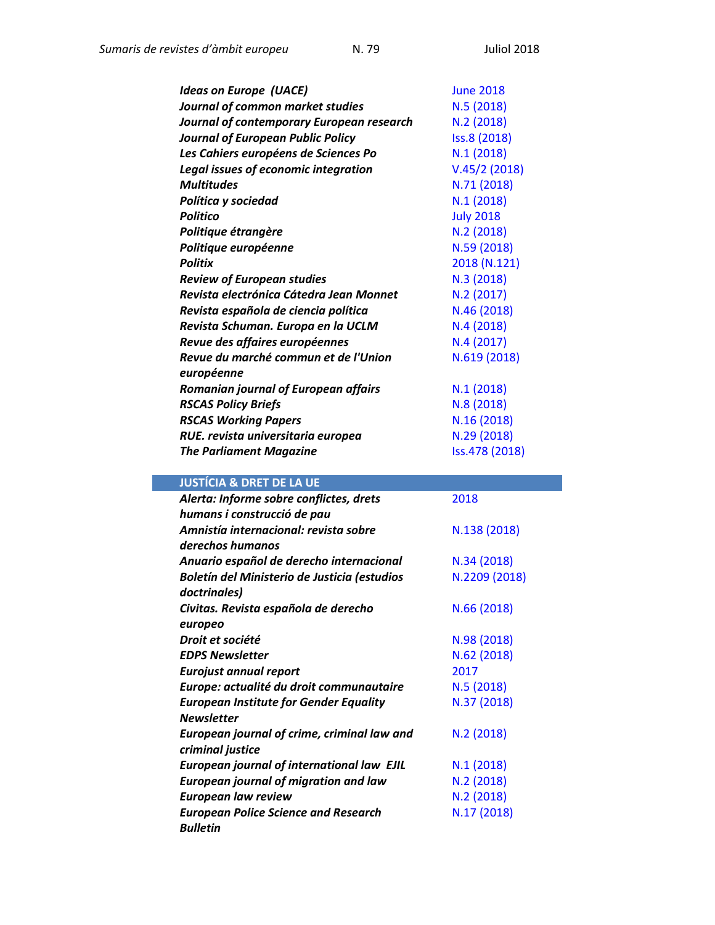| <b>Ideas on Europe (UACE)</b>               | <b>June 2018</b> |
|---------------------------------------------|------------------|
| Journal of common market studies            | N.5 (2018)       |
| Journal of contemporary European research   | N.2(2018)        |
| Journal of European Public Policy           | Iss.8 (2018)     |
| Les Cahiers européens de Sciences Po        | N.1(2018)        |
| <b>Legal issues of economic integration</b> | V.45/2(2018)     |
| <b>Multitudes</b>                           | N.71 (2018)      |
| Política y sociedad                         | N.1(2018)        |
| <b>Politico</b>                             | <b>July 2018</b> |
| Politique étrangère                         | N.2(2018)        |
| Politique européenne                        | N.59 (2018)      |
| <b>Politix</b>                              | 2018 (N.121)     |
| <b>Review of European studies</b>           | N.3 (2018)       |
| Revista electrónica Cátedra Jean Monnet     | N.2 (2017)       |
| Revista española de ciencia política        | N.46 (2018)      |
| Revista Schuman. Europa en la UCLM          | N.4 (2018)       |
| Revue des affaires européennes              | N.4(2017)        |
| Revue du marché commun et de l'Union        | N.619 (2018)     |
| européenne                                  |                  |
| <b>Romanian journal of European affairs</b> | N.1(2018)        |
| <b>RSCAS Policy Briefs</b>                  | N.8 (2018)       |
| <b>RSCAS Working Papers</b>                 | N.16 (2018)      |
| RUE. revista universitaria europea          | N.29 (2018)      |
| <b>The Parliament Magazine</b>              | Iss.478 (2018)   |

## **JUSTÍCIA & DRET DE LA UE**

| Alerta: Informe sobre conflictes, drets           | 2018          |
|---------------------------------------------------|---------------|
| humans i construcció de pau                       |               |
| Amnistía internacional: revista sobre             | N.138 (2018)  |
| derechos humanos                                  |               |
| Anuario español de derecho internacional          | N.34 (2018)   |
| Boletín del Ministerio de Justicia (estudios      | N.2209 (2018) |
| doctrinales)                                      |               |
| Civitas. Revista española de derecho              | N.66 (2018)   |
| europeo                                           |               |
| Droit et société                                  | N.98 (2018)   |
| <b>EDPS Newsletter</b>                            | N.62 (2018)   |
| <b>Eurojust annual report</b>                     | 2017          |
| Europe: actualité du droit communautaire          | N.5(2018)     |
| <b>European Institute for Gender Equality</b>     | N.37 (2018)   |
| <b>Newsletter</b>                                 |               |
| European journal of crime, criminal law and       | N.2(2018)     |
| criminal justice                                  |               |
| <b>European journal of international law EJIL</b> | N.1(2018)     |
| <b>European journal of migration and law</b>      | N.2(2018)     |
| <b>European law review</b>                        | N.2(2018)     |
| <b>European Police Science and Research</b>       | N.17 (2018)   |
| <b>Bulletin</b>                                   |               |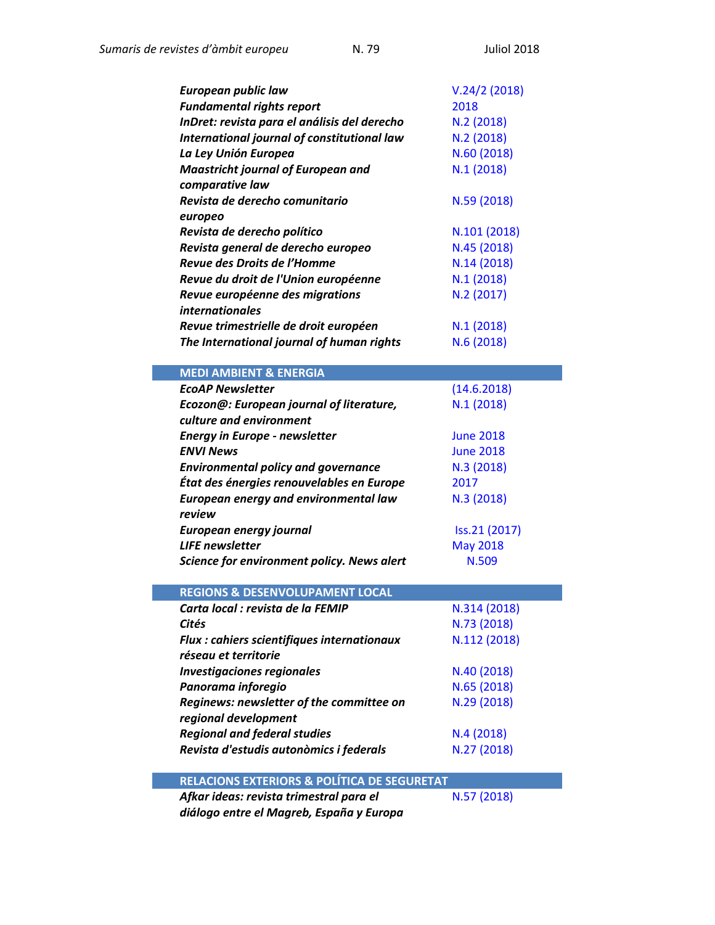| <b>European public law</b>                   | V.24/2(2018)     |
|----------------------------------------------|------------------|
| <b>Fundamental rights report</b>             | 2018             |
| InDret: revista para el análisis del derecho | N.2 (2018)       |
| International journal of constitutional law  | N.2 (2018)       |
| La Ley Unión Europea                         | N.60 (2018)      |
| <b>Maastricht journal of European and</b>    | N.1 (2018)       |
| comparative law                              |                  |
| Revista de derecho comunitario               | N.59 (2018)      |
| europeo                                      |                  |
| Revista de derecho político                  | N.101 (2018)     |
| Revista general de derecho europeo           | N.45 (2018)      |
| Revue des Droits de l'Homme                  | N.14 (2018)      |
| Revue du droit de l'Union européenne         | N.1(2018)        |
| Revue européenne des migrations              | N.2 (2017)       |
| <i>internationales</i>                       |                  |
| Revue trimestrielle de droit européen        | N.1 (2018)       |
|                                              |                  |
| The International journal of human rights    | N.6 (2018)       |
|                                              |                  |
| <b>MEDI AMBIENT &amp; ENERGIA</b>            |                  |
| <b>EcoAP Newsletter</b>                      | (14.6.2018)      |
| Ecozon@: European journal of literature,     | N.1(2018)        |
| culture and environment                      |                  |
| <b>Energy in Europe - newsletter</b>         | <b>June 2018</b> |
| <b>ENVI News</b>                             | <b>June 2018</b> |
| <b>Environmental policy and governance</b>   | N.3 (2018)       |
| État des énergies renouvelables en Europe    | 2017             |
| <b>European energy and environmental law</b> | N.3 (2018)       |
| review                                       |                  |
| European energy journal                      | Iss.21 (2017)    |
| <b>LIFE</b> newsletter                       | <b>May 2018</b>  |
| Science for environment policy. News alert   | N.509            |
|                                              |                  |

| REGIUIS & DESENVULUFAIVIENT LUCAL                  |              |
|----------------------------------------------------|--------------|
| Carta local : revista de la FEMIP                  | N.314 (2018) |
| Cités                                              | N.73 (2018)  |
| <b>Flux : cahiers scientifiques internationaux</b> | N.112 (2018) |
| réseau et territorie                               |              |
| <b>Investigaciones regionales</b>                  | N.40 (2018)  |
| Panorama inforegio                                 | N.65 (2018)  |
| Reginews: newsletter of the committee on           | N.29 (2018)  |
| regional development                               |              |
| <b>Regional and federal studies</b>                | N.4(2018)    |
| Revista d'estudis autonòmics i federals            | N.27 (2018)  |

## **RELACIONS EXTERIORS & POLÍTICA DE SEGURETAT**

*Afkar ideas: revista trimestral para el diálogo entre el Magreb, España y Europa* 

N.57 [\(2018\)](https://www.politicaexterior.com/afkar-ideas/?numeroRevista=57)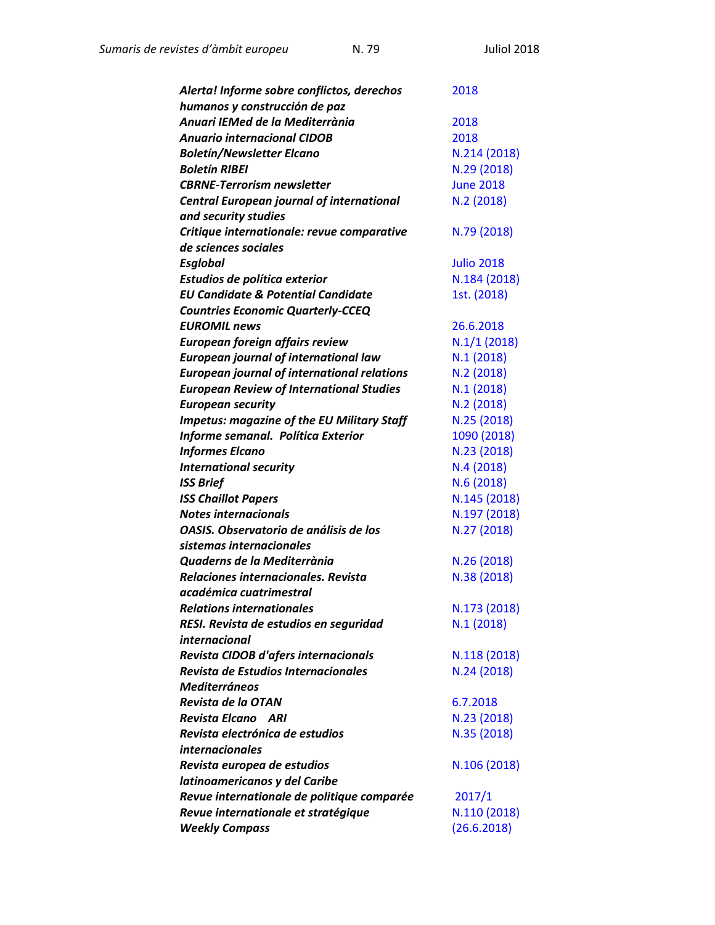| Alerta! Informe sobre conflictos, derechos         | 2018              |
|----------------------------------------------------|-------------------|
| humanos y construcción de paz                      |                   |
| Anuari IEMed de la Mediterrània                    | 2018              |
| <b>Anuario internacional CIDOB</b>                 | 2018              |
| <b>Boletín/Newsletter Elcano</b>                   | N.214 (2018)      |
| <b>Boletín RIBEI</b>                               | N.29 (2018)       |
| <b>CBRNE-Terrorism newsletter</b>                  | <b>June 2018</b>  |
| <b>Central European journal of international</b>   | N.2(2018)         |
| and security studies                               |                   |
| Critique internationale: revue comparative         | N.79 (2018)       |
| de sciences sociales                               |                   |
| <b>Esglobal</b>                                    | <b>Julio 2018</b> |
| Estudios de política exterior                      | N.184 (2018)      |
| <b>EU Candidate &amp; Potential Candidate</b>      | 1st. (2018)       |
| <b>Countries Economic Quarterly-CCEQ</b>           |                   |
| <b>EUROMIL news</b>                                | 26.6.2018         |
| European foreign affairs review                    | $N.1/1$ (2018)    |
| <b>European journal of international law</b>       | N.1(2018)         |
| <b>European journal of international relations</b> | N.2 (2018)        |
| <b>European Review of International Studies</b>    | N.1(2018)         |
| <b>European security</b>                           | N.2(2018)         |
| <b>Impetus: magazine of the EU Military Staff</b>  | N.25 (2018)       |
| Informe semanal. Política Exterior                 | 1090 (2018)       |
| <b>Informes Elcano</b>                             | N.23 (2018)       |
| <b>International security</b>                      | N.4 (2018)        |
| <b>ISS Brief</b>                                   | N.6 (2018)        |
| <b>ISS Chaillot Papers</b>                         | N.145 (2018)      |
| <b>Notes internacionals</b>                        | N.197 (2018)      |
| OASIS. Observatorio de análisis de los             | N.27 (2018)       |
| sistemas internacionales                           |                   |
| Quaderns de la Mediterrània                        | N.26(2018)        |
| Relaciones internacionales. Revista                | N.38 (2018)       |
| académica cuatrimestral                            |                   |
| Relations internationales                          | N.173 (2018)      |
| RESI. Revista de estudios en seguridad             | N.1(2018)         |
| internacional                                      |                   |
| Revista CIDOB d'afers internacionals               | N.118 (2018)      |
| Revista de Estudios Internacionales                | N.24 (2018)       |
| <b>Mediterráneos</b>                               |                   |
| Revista de la OTAN                                 | 6.7.2018          |
| Revista Elcano ARI                                 | N.23 (2018)       |
| Revista electrónica de estudios                    | N.35 (2018)       |
| <i>internacionales</i>                             |                   |
| Revista europea de estudios                        | N.106 (2018)      |
| latinoamericanos y del Caribe                      |                   |
| Revue internationale de politique comparée         | 2017/1            |
| Revue internationale et stratégique                | N.110 (2018)      |
| <b>Weekly Compass</b>                              | (26.6.2018)       |